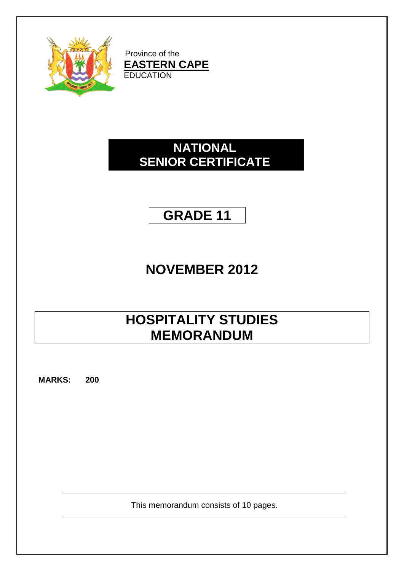

Province of the **EASTERN CAPE EDUCATION** 

### **NATIONAL SENIOR CERTIFICATE**

## **GRADE 11**

# **NOVEMBER 2012**

# **HOSPITALITY STUDIES MEMORANDUM**

**MARKS: 200**

This memorandum consists of 10 pages.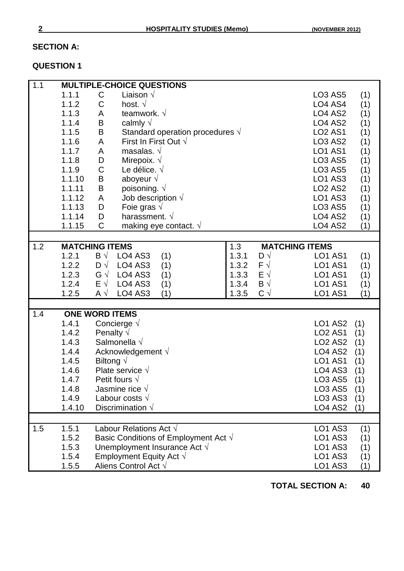### **SECTION A:**

### **QUESTION 1**

| 1.1 |        | <b>MULTIPLE-CHOICE QUESTIONS</b>               |                            |                                        |
|-----|--------|------------------------------------------------|----------------------------|----------------------------------------|
|     | 1.1.1  | Liaison $\sqrt{}$<br>C                         |                            | (1)<br><b>LO3 AS5</b>                  |
|     | 1.1.2  | C<br>host. $\sqrt{ }$                          |                            | LO4 AS4<br>(1)                         |
|     | 1.1.3  | teamwork. $\sqrt{ }$<br>A                      |                            | <b>LO4 AS2</b><br>(1)                  |
|     | 1.1.4  | B<br>calmly $\sqrt{}$                          |                            | <b>LO4 AS2</b><br>(1)                  |
|     | 1.1.5  | B                                              |                            | <b>LO2 AS1</b>                         |
|     |        | Standard operation procedures $\sqrt{ }$       |                            | (1)                                    |
|     | 1.1.6  | First In First Out $\sqrt{}$<br>A              |                            | <b>LO3 AS2</b><br>(1)                  |
|     | 1.1.7  | masalas. $\sqrt{ }$<br>A                       |                            | <b>LO1 AS1</b><br>(1)                  |
|     | 1.1.8  | D<br>Mirepoix. $\sqrt{}$                       |                            | <b>LO3 AS5</b><br>(1)                  |
|     | 1.1.9  | C<br>Le délice. $\sqrt{ }$                     |                            | <b>LO3 AS5</b><br>(1)                  |
|     | 1.1.10 | B<br>aboyeur $\sqrt{ }$                        |                            | <b>LO1 AS3</b><br>(1)                  |
|     | 1.1.11 | B<br>poisoning. $\sqrt{ }$                     |                            | <b>LO2 AS2</b><br>(1)                  |
|     | 1.1.12 | A<br>Job description $\sqrt{ }$                |                            | <b>LO1 AS3</b><br>(1)                  |
|     | 1.1.13 | D<br>Foie gras $\sqrt{ }$                      |                            | <b>LO3 AS5</b><br>(1)                  |
|     | 1.1.14 | D<br>harassment. $\sqrt{ }$                    |                            | <b>LO4 AS2</b><br>(1)                  |
|     | 1.1.15 | $\mathsf C$<br>making eye contact. $\sqrt{ }$  |                            | <b>LO4 AS2</b><br>(1)                  |
|     |        |                                                |                            |                                        |
| 1.2 |        | <b>MATCHING ITEMS</b>                          | 1.3                        | <b>MATCHING ITEMS</b>                  |
|     | 1.2.1  | $\mathsf{B} \sqrt{ }$<br><b>LO4 AS3</b><br>(1) | 1.3.1<br>$D \sqrt{}$       | <b>LO1 AS1</b><br>(1)                  |
|     | 1.2.2  | $D \sqrt{}$<br><b>LO4 AS3</b><br>(1)           | 1.3.2<br>$F \sqrt{}$       | <b>LO1 AS1</b><br>(1)                  |
|     | 1.2.3  | $G \vee$<br><b>LO4 AS3</b><br>(1)              | 1.3.3<br>$E \vee$          | <b>LO1 AS1</b><br>(1)                  |
|     | 1.2.4  | $E \vee$<br><b>LO4 AS3</b><br>(1)              | $\mathsf{B} \vee$<br>1.3.4 | <b>LO1 AS1</b><br>(1)                  |
|     | 1.2.5  | <b>LO4 AS3</b><br>A $\sqrt{ }$<br>(1)          | $C \vee$<br>1.3.5          | <b>LO1 AS1</b><br>(1)                  |
|     |        |                                                |                            |                                        |
| 1.4 |        | <b>ONE WORD ITEMS</b>                          |                            |                                        |
|     | 1.4.1  | Concierge $\sqrt$                              |                            | <b>LO1 AS2</b><br>(1)                  |
|     | 1.4.2  | Penalty $\sqrt{}$                              |                            | <b>LO2 AS1</b><br>(1)                  |
|     | 1.4.3  | Salmonella $\sqrt$                             |                            | LO <sub>2</sub> A <sub>S2</sub><br>(1) |
|     | 1.4.4  | Acknowledgement $\sqrt{}$                      |                            | LO <sub>4</sub> A <sub>S2</sub><br>(1) |
|     | 1.4.5  | Biltong $\sqrt{}$                              |                            | <b>LO1 AS1</b><br>(1)                  |
|     | 1.4.6  | Plate service $\sqrt{ }$                       |                            | <b>LO4 AS3</b><br>(1)                  |
|     | 1.4.7  | Petit fours $\sqrt{ }$                         |                            | <b>LO3 AS5</b><br>(1)                  |
|     | 1.4.8  | Jasmine rice $\sqrt{ }$                        |                            | <b>LO3 AS5</b><br>(1)                  |
|     | 1.4.9  | Labour costs $\sqrt{ }$                        |                            | <b>LO3 AS3</b><br>(1)                  |
|     | 1.4.10 | Discrimination $\sqrt{}$                       |                            | <b>LO4 AS2</b>                         |
|     |        |                                                |                            | (1)                                    |
| 1.5 |        | Labour Relations Act $\sqrt{}$                 |                            |                                        |
|     | 1.5.1  |                                                |                            | <b>LO1 AS3</b><br>(1)                  |
|     | 1.5.2  | Basic Conditions of Employment Act $\sqrt{}$   |                            | <b>LO1 AS3</b><br>(1)                  |
|     | 1.5.3  | Unemployment Insurance Act $\sqrt{ }$          |                            | <b>LO1 AS3</b><br>(1)                  |
|     | 1.5.4  | Employment Equity Act $\sqrt{}$                |                            | <b>LO1 AS3</b><br>(1)                  |
|     | 1.5.5  | Aliens Control Act $\sqrt{}$                   |                            | <b>LO1 AS3</b><br>(1)                  |

**TOTAL SECTION A: 40**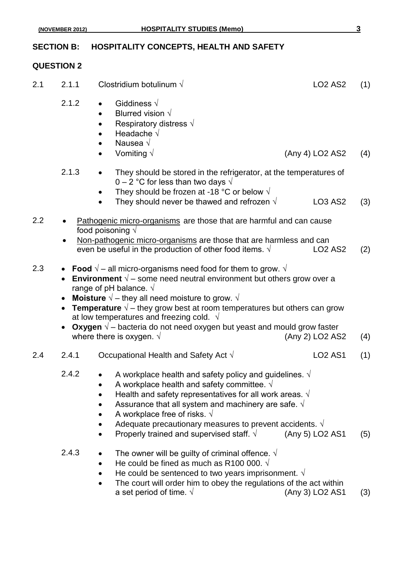#### **QUESTION 2**

- 2.1 2.1.1 Clostridium botulinum  $\sqrt{$  LO2 AS2 (1) 2.1.2 • Giddiness  $\sqrt{ }$  Blurred vision √ Respiratory distress  $\sqrt{ }$  Headache √ Nausea √ Vomiting  $\sqrt{ }$  (Any 4) LO2 AS2 (4) 2.1.3 • They should be stored in the refrigerator, at the temperatures of 0 – 2 °C for less than two days  $\sqrt{ }$ They should be frozen at -18 °C or below  $\sqrt{ }$ They should never be thawed and refrozen  $\sqrt{}$  LO3 AS2 (3) 2.2 • Pathogenic micro-organisms are those that are harmful and can cause food poisoning √ Non-pathogenic micro-organisms are those that are harmless and can even be useful in the production of other food items.  $\sqrt{2}$  LO2 AS2 (2) 2.3 **• Food**  $\sqrt{ }$  – all micro-organisms need food for them to grow.  $\sqrt{ }$  **Environment** √ – some need neutral environment but others grow over a range of pH balance.  $\sqrt{ }$  **Moisture √** – they all need moisture to grow. √ **Temperature** √ – they grow best at room temperatures but others can grow at low temperatures and freezing cold.  $\sqrt{ }$  **Oxygen** √ – bacteria do not need oxygen but yeast and mould grow faster where there is oxygen.  $\sqrt{ }$  (Any 2) LO2 AS2 (4) 2.4 2.4.1 Occupational Health and Safety Act  $\sqrt{2.4 - 2.4.1}$  (1) 2.4.2 • A workplace health and safety policy and guidelines.  $\sqrt{ }$ A workplace health and safety committee.  $\sqrt{ }$ Health and safety representatives for all work areas.  $\sqrt{ }$ Assurance that all system and machinery are safe.  $\sqrt{ }$ A workplace free of risks.  $\sqrt{ }$ • Adequate precautionary measures to prevent accidents. √<br>• Properly trained and supervised staff. √ (Any 5) LO2 AS1 Properly trained and supervised staff.  $\sqrt{(A_{\text{IV}}-5)}$  LO2 AS1 (5) 2.4.3 • The owner will be guilty of criminal offence.  $\sqrt{ }$ He could be fined as much as R100 000.  $\sqrt{ }$ He could be sentenced to two years imprisonment.  $\sqrt{ }$ 
	- The court will order him to obey the regulations of the act within a set period of time.  $\sqrt{ }$  (Any 3) LO2 AS1 (3)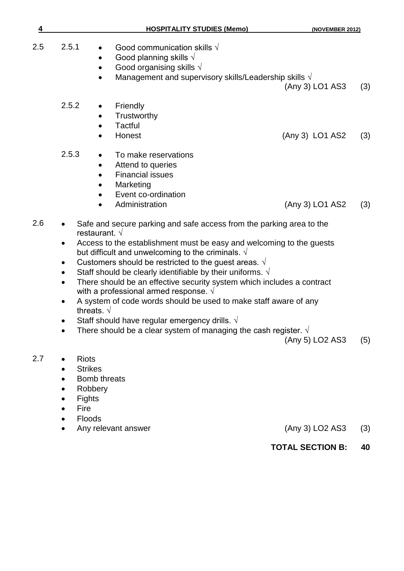| 4   | <b>HOSPITALITY STUDIES (Memo)</b>                                                                                                                                                                                                                                                                                                                                                                                                                                                                                                                                                                                                                                                                                                                     | (NOVEMBER 2012) |     |
|-----|-------------------------------------------------------------------------------------------------------------------------------------------------------------------------------------------------------------------------------------------------------------------------------------------------------------------------------------------------------------------------------------------------------------------------------------------------------------------------------------------------------------------------------------------------------------------------------------------------------------------------------------------------------------------------------------------------------------------------------------------------------|-----------------|-----|
| 2.5 | 2.5.1<br>Good communication skills $\sqrt{}$<br>Good planning skills $\sqrt{ }$<br>Good organising skills $\sqrt{ }$<br>Management and supervisory skills/Leadership skills $\sqrt{}$                                                                                                                                                                                                                                                                                                                                                                                                                                                                                                                                                                 | (Any 3) LO1 AS3 | (3) |
|     | 2.5.2<br>Friendly<br>Trustworthy<br>Tactful<br>$\bullet$<br>Honest                                                                                                                                                                                                                                                                                                                                                                                                                                                                                                                                                                                                                                                                                    | (Any 3) LO1 AS2 | (3) |
|     | 2.5.3<br>To make reservations<br>Attend to queries<br><b>Financial issues</b><br>$\bullet$<br>Marketing<br>Event co-ordination<br>Administration                                                                                                                                                                                                                                                                                                                                                                                                                                                                                                                                                                                                      | (Any 3) LO1 AS2 | (3) |
| 2.6 | Safe and secure parking and safe access from the parking area to the<br>restaurant. $\sqrt{ }$<br>Access to the establishment must be easy and welcoming to the guests<br>but difficult and unwelcoming to the criminals. $\sqrt{ }$<br>Customers should be restricted to the guest areas. $\sqrt{ }$<br>Staff should be clearly identifiable by their uniforms. $\sqrt{ }$<br>There should be an effective security system which includes a contract<br>$\bullet$<br>with a professional armed response. $\sqrt{ }$<br>A system of code words should be used to make staff aware of any<br>threats. $\sqrt{ }$<br>Staff should have regular emergency drills. $\sqrt{ }$<br>There should be a clear system of managing the cash register. $\sqrt{ }$ | (Any 5) LO2 AS3 | (5) |
| 2.7 | <b>Riots</b><br><b>Strikes</b><br>Bomb threats<br>Robbery<br><b>Fights</b><br>Fire<br>Floods<br>Any relevant answer                                                                                                                                                                                                                                                                                                                                                                                                                                                                                                                                                                                                                                   | (Any 3) LO2 AS3 | (3) |

**TOTAL SECTION B: 40**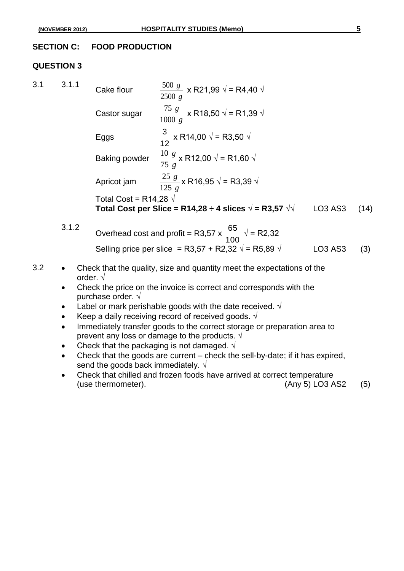#### **SECTION C: FOOD PRODUCTION**

#### **QUESTION 3**

3.1 3.1.1 Cake flour *g g* 2500  $\frac{500 \text{ g}}{2500 \text{ g}}$  x R21,99  $\sqrt{}$  = R4,40  $\sqrt{}$ Castor sugar *g g* 1000  $\frac{75 \text{ g}}{200}$  x R18,50 √ = R1,39 √ Eggs 12  $\frac{3}{12}$  x R14,00 √ = R3,50 √ Baking powder *g g* 75  $\frac{10 g}{25}$  x R12,00 √ = R1,60 √ Apricot jam *g g* 125  $\frac{25 g}{25}$ x R16,95 √ = R3,39 √ Total Cost = R14,28  $\sqrt{ }$ **Total Cost per Slice = R14,28 ÷ 4 slices**  $\sqrt{ }$  **= R3,57**  $\sqrt{ }$  **LO3 AS3 (14)** 65

3.1.2 Overhead cost and profit = R3,57 x 
$$
\frac{65}{100}
$$
  $\sqrt{}$  = R2,32  
\nSelling price per slice = R3,57 + R2,32  $\sqrt{}$  = R5,89  $\sqrt{}$  LO3 AS3 (3)

- 3.2 Check that the quality, size and quantity meet the expectations of the order. √
	- Check the price on the invoice is correct and corresponds with the purchase order. √
	- Label or mark perishable goods with the date received.  $\sqrt{ }$
	- Keep a daily receiving record of received goods.  $\sqrt{ }$
	- Immediately transfer goods to the correct storage or preparation area to prevent any loss or damage to the products.  $\sqrt{ }$
	- Check that the packaging is not damaged.  $\sqrt{ }$
	- Check that the goods are current check the sell-by-date; if it has expired, send the goods back immediately.  $\sqrt{ }$
	- Check that chilled and frozen foods have arrived at correct temperature (use thermometer). (Any 5) LO3 AS2 (5)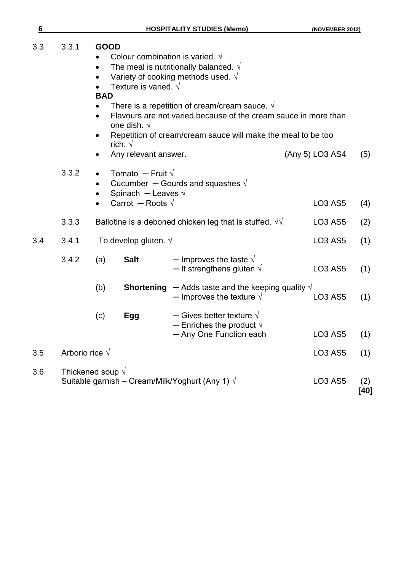| 6   |                          |                                        |                                                                                                                                                                                                                   | <b>HOSPITALITY STUDIES (Memo)</b>                                                                                                         | (NOVEMBER 2012)                 |               |  |
|-----|--------------------------|----------------------------------------|-------------------------------------------------------------------------------------------------------------------------------------------------------------------------------------------------------------------|-------------------------------------------------------------------------------------------------------------------------------------------|---------------------------------|---------------|--|
| 3.3 | 3.3.1                    | <b>GOOD</b><br>$\bullet$<br><b>BAD</b> | Texture is varied. $\sqrt{ }$                                                                                                                                                                                     | Colour combination is varied. $\sqrt{ }$<br>The meal is nutritionally balanced. $\sqrt{ }$<br>Variety of cooking methods used. $\sqrt{ }$ |                                 |               |  |
|     |                          |                                        | There is a repetition of cream/cream sauce. $\sqrt{ }$<br>Flavours are not varied because of the cream sauce in more than<br>one dish. $\sqrt{ }$<br>Repetition of cream/cream sauce will make the meal to be too |                                                                                                                                           |                                 |               |  |
|     |                          | ٠                                      | rich. $\sqrt{ }$<br>Any relevant answer.                                                                                                                                                                          |                                                                                                                                           | (Any 5) LO3 AS4                 | (5)           |  |
|     | 3.3.2                    |                                        | Tomato - Fruit $\sqrt{}$<br>Spinach - Leaves $\sqrt{ }$                                                                                                                                                           | Cucumber - Gourds and squashes $\sqrt{ }$                                                                                                 |                                 |               |  |
|     |                          | $\bullet$                              | Carrot - Roots $\sqrt{}$                                                                                                                                                                                          |                                                                                                                                           | <b>LO3 AS5</b>                  | (4)           |  |
|     | 3.3.3                    |                                        |                                                                                                                                                                                                                   | Ballotine is a deboned chicken leg that is stuffed. $\sqrt{v}$                                                                            | <b>LO3 AS5</b>                  | (2)           |  |
| 3.4 | 3.4.1                    |                                        | To develop gluten. $\sqrt{ }$                                                                                                                                                                                     |                                                                                                                                           | <b>LO3 AS5</b>                  | (1)           |  |
|     | 3.4.2                    | (a)                                    | <b>Salt</b>                                                                                                                                                                                                       | - Improves the taste $\sqrt{}$<br>- It strengthens gluten $\sqrt{}$                                                                       | <b>LO3 AS5</b>                  | (1)           |  |
|     |                          | (b)                                    |                                                                                                                                                                                                                   | <b>Shortening</b> $-$ Adds taste and the keeping quality $\sqrt{ }$<br>- Improves the texture $\sqrt{}$                                   | <b>LO3 AS5</b>                  | (1)           |  |
|     |                          | (c)                                    | <b>Egg</b>                                                                                                                                                                                                        | $-$ Gives better texture $\sqrt{ }$<br>$-$ Enriches the product $\sqrt{ }$<br>- Any One Function each                                     | <b>LO3 AS5</b>                  | (1)           |  |
| 3.5 | Arborio rice $\sqrt{}$   |                                        |                                                                                                                                                                                                                   |                                                                                                                                           | <b>LO3 AS5</b>                  | (1)           |  |
| 3.6 | Thickened soup $\sqrt{}$ |                                        |                                                                                                                                                                                                                   | Suitable garnish – Cream/Milk/Yoghurt (Any 1) $\sqrt{ }$                                                                                  | LO <sub>3</sub> AS <sub>5</sub> | (2)<br>$[40]$ |  |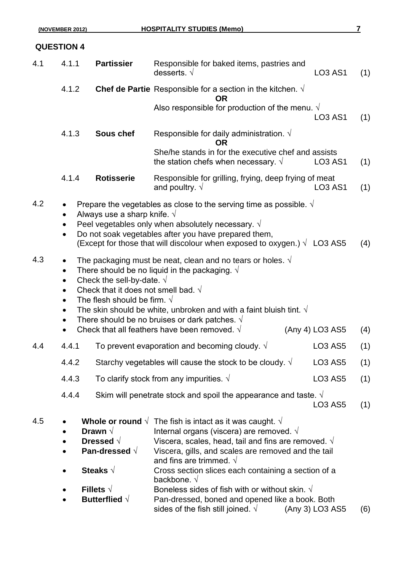### **QUESTION 4**

| 4.1 | 4.1.1                               | <b>Partissier</b>                                                                                                                                             | Responsible for baked items, pastries and<br>desserts. $\sqrt{ }$                                                                                                                                                                                                                                                                                                                                                                                                                                          | <b>LO3 AS1</b>  | (1) |
|-----|-------------------------------------|---------------------------------------------------------------------------------------------------------------------------------------------------------------|------------------------------------------------------------------------------------------------------------------------------------------------------------------------------------------------------------------------------------------------------------------------------------------------------------------------------------------------------------------------------------------------------------------------------------------------------------------------------------------------------------|-----------------|-----|
|     | 4.1.2                               |                                                                                                                                                               | <b>Chef de Partie</b> Responsible for a section in the kitchen. $\sqrt{ }$<br><b>OR</b>                                                                                                                                                                                                                                                                                                                                                                                                                    |                 |     |
|     |                                     |                                                                                                                                                               | Also responsible for production of the menu. $\sqrt{ }$                                                                                                                                                                                                                                                                                                                                                                                                                                                    | <b>LO3 AS1</b>  | (1) |
|     | 4.1.3                               | Sous chef                                                                                                                                                     | Responsible for daily administration. $\sqrt{ }$<br>OR                                                                                                                                                                                                                                                                                                                                                                                                                                                     |                 |     |
|     |                                     |                                                                                                                                                               | She/he stands in for the executive chef and assists<br>the station chefs when necessary. $\sqrt{ }$                                                                                                                                                                                                                                                                                                                                                                                                        | <b>LO3 AS1</b>  | (1) |
|     | 4.1.4                               | <b>Rotisserie</b>                                                                                                                                             | Responsible for grilling, frying, deep frying of meat<br>and poultry. $\sqrt{ }$                                                                                                                                                                                                                                                                                                                                                                                                                           | <b>LO3 AS1</b>  | (1) |
| 4.2 |                                     | Always use a sharp knife. $\sqrt{}$                                                                                                                           | Prepare the vegetables as close to the serving time as possible. $\sqrt{ }$<br>Peel vegetables only when absolutely necessary. $\sqrt{ }$<br>Do not soak vegetables after you have prepared them,<br>(Except for those that will discolour when exposed to oxygen.) $\sqrt{}$ LO3 AS5                                                                                                                                                                                                                      |                 | (4) |
| 4.3 | $\bullet$<br>$\bullet$<br>$\bullet$ | Check the sell-by-date. $\sqrt{}$<br>Check that it does not smell bad. $\sqrt{}$<br>The flesh should be firm. $\sqrt{ }$                                      | The packaging must be neat, clean and no tears or holes. $\sqrt{ }$<br>There should be no liquid in the packaging. $\sqrt{ }$<br>The skin should be white, unbroken and with a faint bluish tint. $\sqrt{ }$<br>There should be no bruises or dark patches. $\sqrt{ }$<br>Check that all feathers have been removed. $\sqrt{ }$                                                                                                                                                                            | (Any 4) LO3 AS5 | (4) |
| 4.4 | 4.4.1                               |                                                                                                                                                               | To prevent evaporation and becoming cloudy. $\sqrt{ }$                                                                                                                                                                                                                                                                                                                                                                                                                                                     | <b>LO3 AS5</b>  | (1) |
|     | 4.4.2                               |                                                                                                                                                               | Starchy vegetables will cause the stock to be cloudy. $\sqrt{ }$                                                                                                                                                                                                                                                                                                                                                                                                                                           | <b>LO3 AS5</b>  | (1) |
|     | 4.4.3                               |                                                                                                                                                               | To clarify stock from any impurities. $\sqrt{ }$                                                                                                                                                                                                                                                                                                                                                                                                                                                           | <b>LO3 AS5</b>  | (1) |
|     | 4.4.4                               |                                                                                                                                                               | Skim will penetrate stock and spoil the appearance and taste. $\sqrt{ }$                                                                                                                                                                                                                                                                                                                                                                                                                                   | <b>LO3 AS5</b>  | (1) |
| 4.5 | $\bullet$                           | Whole or round $\sqrt{ }$<br>Drawn $\sqrt{}$<br>Dressed $\sqrt{}$<br>Pan-dressed $\sqrt{ }$<br>Steaks $\sqrt{}$<br>Fillets $\sqrt{}$<br>Butterflied $\sqrt{}$ | The fish is intact as it was caught. $\sqrt{ }$<br>Internal organs (viscera) are removed. $\sqrt{ }$<br>Viscera, scales, head, tail and fins are removed. $\sqrt{ }$<br>Viscera, gills, and scales are removed and the tail<br>and fins are trimmed. $\sqrt{ }$<br>Cross section slices each containing a section of a<br>backbone. $\sqrt{ }$<br>Boneless sides of fish with or without skin. $\sqrt{ }$<br>Pan-dressed, boned and opened like a book. Both<br>sides of the fish still joined. $\sqrt{ }$ | (Any 3) LO3 AS5 | (6) |
|     |                                     |                                                                                                                                                               |                                                                                                                                                                                                                                                                                                                                                                                                                                                                                                            |                 |     |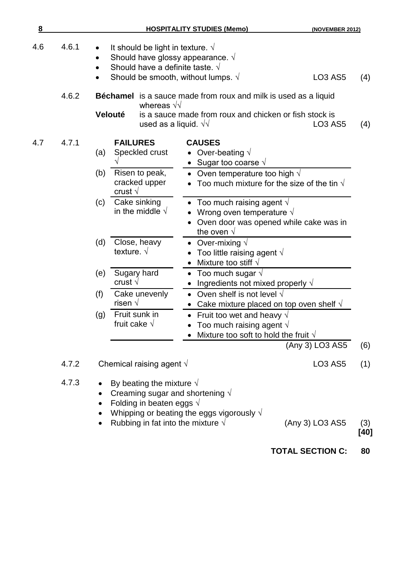| 8   |                |                                                                                                                                                                                                       | <b>HOSPITALITY STUDIES (Memo)</b>                                                                                                                                       | (NOVEMBER 2012)                   |            |
|-----|----------------|-------------------------------------------------------------------------------------------------------------------------------------------------------------------------------------------------------|-------------------------------------------------------------------------------------------------------------------------------------------------------------------------|-----------------------------------|------------|
| 4.6 | 4.6.1          | It should be light in texture. $\sqrt{ }$<br>Should have glossy appearance. $\sqrt{ }$<br>Should have a definite taste. $\sqrt{ }$<br>Should be smooth, without lumps. $\sqrt{ }$                     |                                                                                                                                                                         | <b>LO3 AS5</b>                    | (4)        |
|     | 4.6.2          | whereas $\sqrt{v}$<br>Velouté<br>used as a liquid. $\sqrt{v}$                                                                                                                                         | Béchamel is a sauce made from roux and milk is used as a liquid<br>is a sauce made from roux and chicken or fish stock is                                               | <b>LO3 AS5</b>                    | (4)        |
| 4.7 | 4.7.1          | <b>FAILURES</b><br>Speckled crust<br>(a)<br>Risen to peak,<br>(b)<br>cracked upper<br>crust $\sqrt{ }$                                                                                                | <b>CAUSES</b><br>Over-beating $\sqrt{}$<br>• Sugar too coarse $\sqrt{ }$<br>Oven temperature too high $\sqrt{ }$<br>Too much mixture for the size of the tin $\sqrt{ }$ |                                   |            |
|     |                | Cake sinking<br>(c)<br>in the middle $\sqrt{ }$                                                                                                                                                       | Too much raising agent $\sqrt{}$<br>Wrong oven temperature $\sqrt{ }$<br>Oven door was opened while cake was in<br>the oven $\sqrt{ }$                                  |                                   |            |
|     |                | Close, heavy<br>(d)<br>texture. $\sqrt{ }$                                                                                                                                                            | Over-mixing $\sqrt{}$<br>Too little raising agent $\sqrt{ }$<br>$\bullet$<br>Mixture too stiff $\sqrt{}$                                                                |                                   |            |
|     |                | Sugary hard<br>(e)<br>crust $\sqrt{ }$                                                                                                                                                                | Too much sugar $\sqrt{}$<br>٠<br>Ingredients not mixed properly $\sqrt{}$                                                                                               |                                   |            |
|     |                | (f)<br>Cake unevenly<br>risen $\sqrt{ }$                                                                                                                                                              | • Oven shelf is not level $\sqrt{}$<br>Cake mixture placed on top oven shelf $\sqrt{ }$                                                                                 |                                   |            |
|     |                | Fruit sunk in<br>(g)<br>fruit cake $\sqrt{ }$                                                                                                                                                         | • Fruit too wet and heavy $\sqrt{ }$<br>Too much raising agent $\sqrt{ }$<br>Mixture too soft to hold the fruit $\sqrt{ }$                                              |                                   |            |
|     |                |                                                                                                                                                                                                       |                                                                                                                                                                         | (Any 3) LO3 AS5                   | (6)        |
|     | 4.7.2<br>4.7.3 | Chemical raising agent $\sqrt{ }$<br>By beating the mixture $\sqrt{ }$<br>Creaming sugar and shortening $\sqrt{ }$<br>Folding in beaten eggs $\sqrt{ }$<br>Rubbing in fat into the mixture $\sqrt{ }$ | Whipping or beating the eggs vigorously $\sqrt{ }$                                                                                                                      | <b>LO3 AS5</b><br>(Any 3) LO3 AS5 | (1)<br>(3) |
|     |                |                                                                                                                                                                                                       |                                                                                                                                                                         |                                   | [40]       |

**TOTAL SECTION C: 80**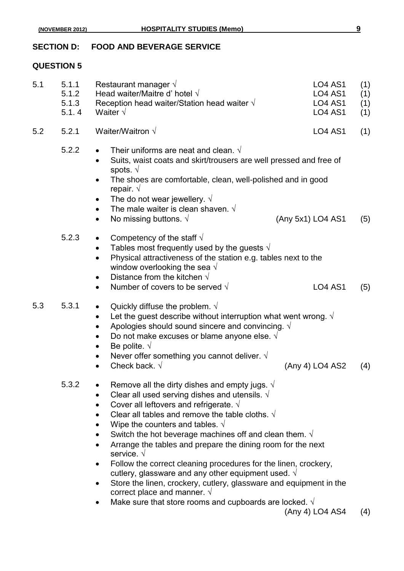#### **SECTION D: FOOD AND BEVERAGE SERVICE**

#### **QUESTION 5**

| 5.1 | 5.1.1<br>5.1.2<br>5.1.3<br>5.1.4 | Restaurant manager $\sqrt{ }$<br><b>LO4 AS1</b><br>Head waiter/Maitre d' hotel $\sqrt{ }$<br><b>LO4 AS1</b><br>Reception head waiter/Station head waiter $\sqrt{ }$<br><b>LO4 AS1</b><br>Waiter $\sqrt{ }$<br><b>LO4 AS1</b>                                                                                                                                                                                                                                                                                                                                                                                                                                                                                                                                                                              | (1)<br>(1)<br>(1)<br>(1) |
|-----|----------------------------------|-----------------------------------------------------------------------------------------------------------------------------------------------------------------------------------------------------------------------------------------------------------------------------------------------------------------------------------------------------------------------------------------------------------------------------------------------------------------------------------------------------------------------------------------------------------------------------------------------------------------------------------------------------------------------------------------------------------------------------------------------------------------------------------------------------------|--------------------------|
| 5.2 | 5.2.1                            | Waiter/Waitron $\sqrt$<br><b>LO4 AS1</b>                                                                                                                                                                                                                                                                                                                                                                                                                                                                                                                                                                                                                                                                                                                                                                  | (1)                      |
|     | 5.2.2                            | Their uniforms are neat and clean. $\sqrt{ }$<br>$\bullet$<br>Suits, waist coats and skirt/trousers are well pressed and free of<br>$\bullet$<br>spots. $\sqrt{ }$<br>The shoes are comfortable, clean, well-polished and in good<br>repair. $\sqrt{ }$<br>The do not wear jewellery. $\sqrt{ }$<br>The male waiter is clean shaven. $\sqrt{ }$<br>$\bullet$<br>No missing buttons. $\sqrt{ }$<br>(Any 5x1) LO4 AS1<br>$\bullet$                                                                                                                                                                                                                                                                                                                                                                          | (5)                      |
|     | 5.2.3                            | Competency of the staff $\sqrt{ }$<br>$\bullet$<br>Tables most frequently used by the guests $\sqrt{ }$<br>٠<br>Physical attractiveness of the station e.g. tables next to the<br>$\bullet$<br>window overlooking the sea $\sqrt{ }$<br>Distance from the kitchen $\sqrt{}$<br>٠<br>Number of covers to be served $\sqrt{ }$<br><b>LO4 AS1</b><br>$\bullet$                                                                                                                                                                                                                                                                                                                                                                                                                                               | (5)                      |
| 5.3 | 5.3.1                            | Quickly diffuse the problem. $\sqrt{}$<br>Let the guest describe without interruption what went wrong. $\sqrt{ }$<br>$\bullet$<br>Apologies should sound sincere and convincing. $\sqrt{ }$<br>$\bullet$<br>Do not make excuses or blame anyone else. $\sqrt{ }$<br>$\bullet$<br>Be polite. $\sqrt{ }$<br>$\bullet$<br>Never offer something you cannot deliver. $\sqrt{ }$<br>$\bullet$<br>Check back. $\sqrt{}$<br>(Any 4) LO4 AS2<br>$\bullet$                                                                                                                                                                                                                                                                                                                                                         | (4)                      |
|     | 5.3.2                            | Remove all the dirty dishes and empty jugs. $\sqrt{ }$<br>Clear all used serving dishes and utensils. $\sqrt{ }$<br>Cover all leftovers and refrigerate. $\sqrt{ }$<br>Clear all tables and remove the table cloths. $\sqrt{ }$<br>Wipe the counters and tables. $\sqrt{ }$<br>Switch the hot beverage machines off and clean them. $\sqrt{ }$<br>Arrange the tables and prepare the dining room for the next<br>service. $\sqrt{ }$<br>Follow the correct cleaning procedures for the linen, crockery,<br>٠<br>cutlery, glassware and any other equipment used. $\sqrt{ }$<br>Store the linen, crockery, cutlery, glassware and equipment in the<br>$\bullet$<br>correct place and manner. $\sqrt{ }$<br>Make sure that store rooms and cupboards are locked. $\sqrt{ }$<br>$\bullet$<br>(Any 4) LO4 AS4 | (4)                      |